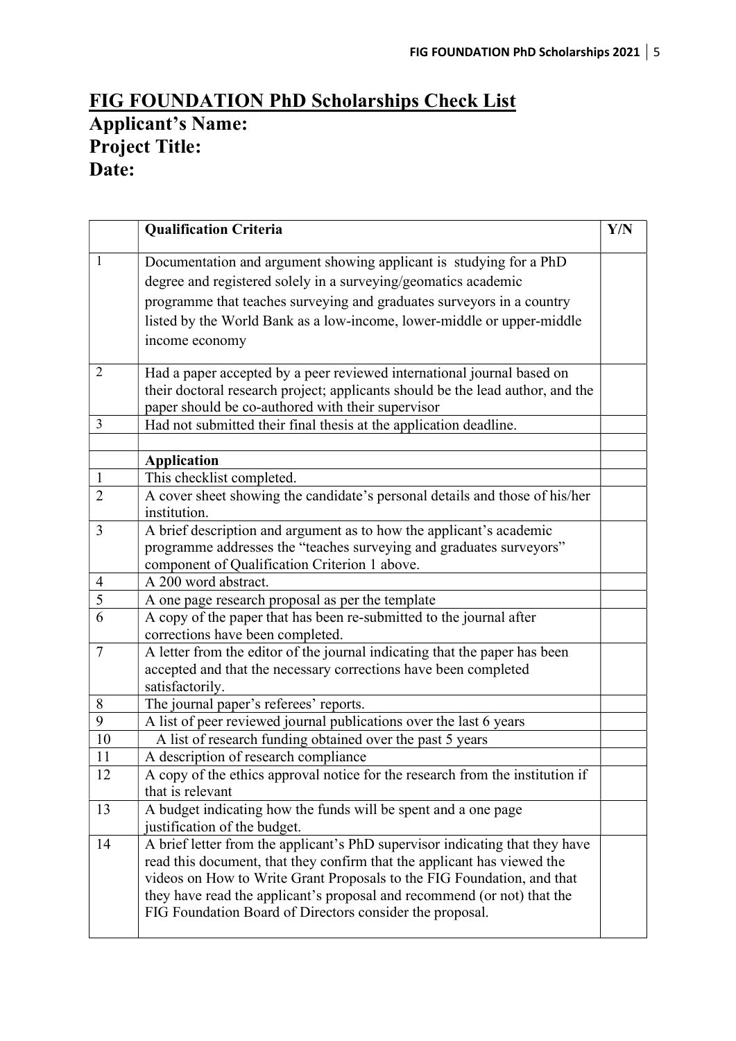## FIG FOUNDATION PhD Scholarships Check List Applicant's Name: Project Title: Date:

|                | <b>Qualification Criteria</b>                                                               | <b>Y/N</b> |
|----------------|---------------------------------------------------------------------------------------------|------------|
| $\mathbf{1}$   | Documentation and argument showing applicant is studying for a PhD                          |            |
|                | degree and registered solely in a surveying/geomatics academic                              |            |
|                | programme that teaches surveying and graduates surveyors in a country                       |            |
|                | listed by the World Bank as a low-income, lower-middle or upper-middle                      |            |
|                | income economy                                                                              |            |
| $\overline{2}$ | Had a paper accepted by a peer reviewed international journal based on                      |            |
|                | their doctoral research project; applicants should be the lead author, and the              |            |
|                | paper should be co-authored with their supervisor                                           |            |
| 3              | Had not submitted their final thesis at the application deadline.                           |            |
|                |                                                                                             |            |
|                | <b>Application</b>                                                                          |            |
| $\mathbf{1}$   | This checklist completed.                                                                   |            |
| $\overline{2}$ | A cover sheet showing the candidate's personal details and those of his/her<br>institution. |            |
| $\overline{3}$ | A brief description and argument as to how the applicant's academic                         |            |
|                | programme addresses the "teaches surveying and graduates surveyors"                         |            |
|                | component of Qualification Criterion 1 above.                                               |            |
| $\overline{4}$ | A 200 word abstract.                                                                        |            |
| 5              | A one page research proposal as per the template                                            |            |
| 6              | A copy of the paper that has been re-submitted to the journal after                         |            |
|                | corrections have been completed.                                                            |            |
| $\tau$         | A letter from the editor of the journal indicating that the paper has been                  |            |
|                | accepted and that the necessary corrections have been completed                             |            |
|                | satisfactorily.                                                                             |            |
| 8              | The journal paper's referees' reports.                                                      |            |
| 9              | A list of peer reviewed journal publications over the last 6 years                          |            |
| 10             | A list of research funding obtained over the past 5 years                                   |            |
| 11             | A description of research compliance                                                        |            |
| 12             | A copy of the ethics approval notice for the research from the institution if               |            |
|                | that is relevant                                                                            |            |
| 13             | A budget indicating how the funds will be spent and a one page                              |            |
|                | justification of the budget.                                                                |            |
| 14             | A brief letter from the applicant's PhD supervisor indicating that they have                |            |
|                | read this document, that they confirm that the applicant has viewed the                     |            |
|                | videos on How to Write Grant Proposals to the FIG Foundation, and that                      |            |
|                | they have read the applicant's proposal and recommend (or not) that the                     |            |
|                | FIG Foundation Board of Directors consider the proposal.                                    |            |
|                |                                                                                             |            |